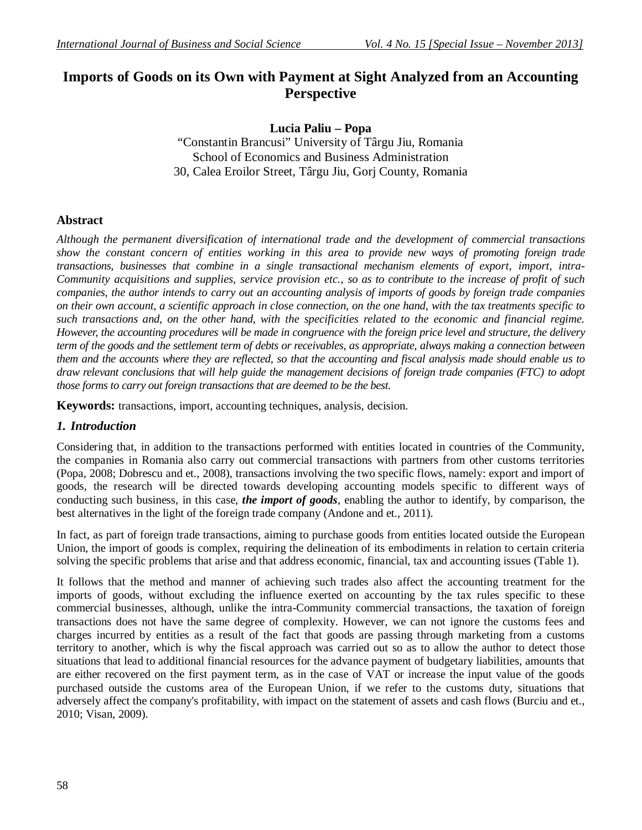# **Imports of Goods on its Own with Payment at Sight Analyzed from an Accounting Perspective**

## **Lucia Paliu – Popa**

"Constantin Brancusi" University of Târgu Jiu, Romania School of Economics and Business Administration 30, Calea Eroilor Street, Târgu Jiu, Gorj County, Romania

### **Abstract**

*Although the permanent diversification of international trade and the development of commercial transactions show the constant concern of entities working in this area to provide new ways of promoting foreign trade transactions, businesses that combine in a single transactional mechanism elements of export, import, intra-Community acquisitions and supplies, service provision etc., so as to contribute to the increase of profit of such companies, the author intends to carry out an accounting analysis of imports of goods by foreign trade companies on their own account, a scientific approach in close connection, on the one hand, with the tax treatments specific to such transactions and, on the other hand, with the specificities related to the economic and financial regime. However, the accounting procedures will be made in congruence with the foreign price level and structure, the delivery term of the goods and the settlement term of debts or receivables, as appropriate, always making a connection between them and the accounts where they are reflected, so that the accounting and fiscal analysis made should enable us to draw relevant conclusions that will help guide the management decisions of foreign trade companies (FTC) to adopt those forms to carry out foreign transactions that are deemed to be the best.*

**Keywords:** transactions, import, accounting techniques, analysis, decision.

### *1. Introduction*

Considering that, in addition to the transactions performed with entities located in countries of the Community, the companies in Romania also carry out commercial transactions with partners from other customs territories (Popa, 2008; Dobrescu and et., 2008), transactions involving the two specific flows, namely: export and import of goods, the research will be directed towards developing accounting models specific to different ways of conducting such business, in this case, *the import of goods*, enabling the author to identify, by comparison, the best alternatives in the light of the foreign trade company (Andone and et., 2011).

In fact, as part of foreign trade transactions, aiming to purchase goods from entities located outside the European Union, the import of goods is complex, requiring the delineation of its embodiments in relation to certain criteria solving the specific problems that arise and that address economic, financial, tax and accounting issues (Table 1).

It follows that the method and manner of achieving such trades also affect the accounting treatment for the imports of goods, without excluding the influence exerted on accounting by the tax rules specific to these commercial businesses, although, unlike the intra-Community commercial transactions, the taxation of foreign transactions does not have the same degree of complexity. However, we can not ignore the customs fees and charges incurred by entities as a result of the fact that goods are passing through marketing from a customs territory to another, which is why the fiscal approach was carried out so as to allow the author to detect those situations that lead to additional financial resources for the advance payment of budgetary liabilities, amounts that are either recovered on the first payment term, as in the case of VAT or increase the input value of the goods purchased outside the customs area of the European Union, if we refer to the customs duty, situations that adversely affect the company's profitability, with impact on the statement of assets and cash flows (Burciu and et., 2010; Visan, 2009).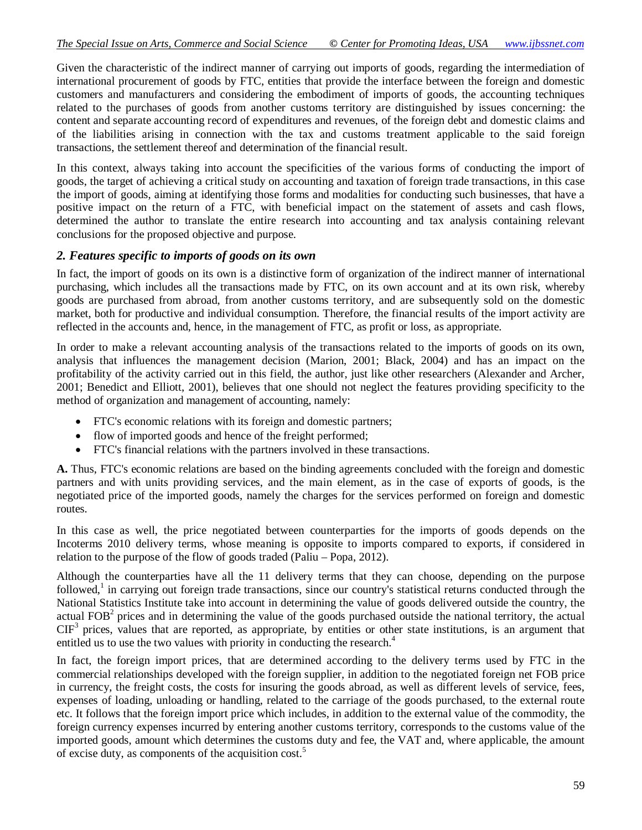Given the characteristic of the indirect manner of carrying out imports of goods, regarding the intermediation of international procurement of goods by FTC, entities that provide the interface between the foreign and domestic customers and manufacturers and considering the embodiment of imports of goods, the accounting techniques related to the purchases of goods from another customs territory are distinguished by issues concerning: the content and separate accounting record of expenditures and revenues, of the foreign debt and domestic claims and of the liabilities arising in connection with the tax and customs treatment applicable to the said foreign transactions, the settlement thereof and determination of the financial result.

In this context, always taking into account the specificities of the various forms of conducting the import of goods, the target of achieving a critical study on accounting and taxation of foreign trade transactions, in this case the import of goods, aiming at identifying those forms and modalities for conducting such businesses, that have a positive impact on the return of a FTC, with beneficial impact on the statement of assets and cash flows, determined the author to translate the entire research into accounting and tax analysis containing relevant conclusions for the proposed objective and purpose.

#### *2. Features specific to imports of goods on its own*

In fact, the import of goods on its own is a distinctive form of organization of the indirect manner of international purchasing, which includes all the transactions made by FTC, on its own account and at its own risk, whereby goods are purchased from abroad, from another customs territory, and are subsequently sold on the domestic market, both for productive and individual consumption. Therefore, the financial results of the import activity are reflected in the accounts and, hence, in the management of FTC, as profit or loss, as appropriate.

In order to make a relevant accounting analysis of the transactions related to the imports of goods on its own, analysis that influences the management decision (Marion, 2001; Black, 2004) and has an impact on the profitability of the activity carried out in this field, the author, just like other researchers (Alexander and Archer, 2001; Benedict and Elliott, 2001), believes that one should not neglect the features providing specificity to the method of organization and management of accounting, namely:

- FTC's economic relations with its foreign and domestic partners;
- flow of imported goods and hence of the freight performed;
- FTC's financial relations with the partners involved in these transactions.

**A.** Thus, FTC's economic relations are based on the binding agreements concluded with the foreign and domestic partners and with units providing services, and the main element, as in the case of exports of goods, is the negotiated price of the imported goods, namely the charges for the services performed on foreign and domestic routes.

In this case as well, the price negotiated between counterparties for the imports of goods depends on the Incoterms 2010 delivery terms, whose meaning is opposite to imports compared to exports, if considered in relation to the purpose of the flow of goods traded (Paliu – Popa, 2012).

Although the counterparties have all the 11 delivery terms that they can choose, depending on the purpose followed,<sup>1</sup> in carrying out foreign trade transactions, since our country's statistical returns conducted through the National Statistics Institute take into account in determining the value of goods delivered outside the country, the actual FOB<sup>2</sup> prices and in determining the value of the goods purchased outside the national territory, the actual  $CIF<sup>3</sup>$  prices, values that are reported, as appropriate, by entities or other state institutions, is an argument that entitled us to use the two values with priority in conducting the research.<sup>4</sup>

In fact, the foreign import prices, that are determined according to the delivery terms used by FTC in the commercial relationships developed with the foreign supplier, in addition to the negotiated foreign net FOB price in currency, the freight costs, the costs for insuring the goods abroad, as well as different levels of service, fees, expenses of loading, unloading or handling, related to the carriage of the goods purchased, to the external route etc. It follows that the foreign import price which includes, in addition to the external value of the commodity, the foreign currency expenses incurred by entering another customs territory, corresponds to the customs value of the imported goods, amount which determines the customs duty and fee, the VAT and, where applicable, the amount of excise duty, as components of the acquisition cost.<sup>5</sup>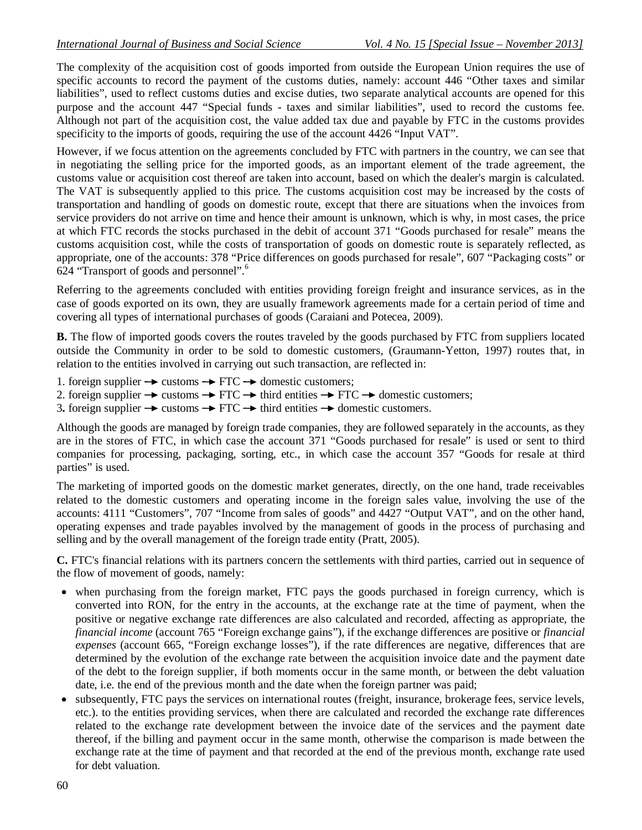The complexity of the acquisition cost of goods imported from outside the European Union requires the use of specific accounts to record the payment of the customs duties, namely: account 446 "Other taxes and similar liabilities", used to reflect customs duties and excise duties, two separate analytical accounts are opened for this purpose and the account 447 "Special funds - taxes and similar liabilities", used to record the customs fee. Although not part of the acquisition cost, the value added tax due and payable by FTC in the customs provides specificity to the imports of goods, requiring the use of the account 4426 "Input VAT".

However, if we focus attention on the agreements concluded by FTC with partners in the country, we can see that in negotiating the selling price for the imported goods, as an important element of the trade agreement, the customs value or acquisition cost thereof are taken into account, based on which the dealer's margin is calculated. The VAT is subsequently applied to this price. The customs acquisition cost may be increased by the costs of transportation and handling of goods on domestic route, except that there are situations when the invoices from service providers do not arrive on time and hence their amount is unknown, which is why, in most cases, the price at which FTC records the stocks purchased in the debit of account 371 "Goods purchased for resale" means the customs acquisition cost, while the costs of transportation of goods on domestic route is separately reflected, as appropriate, one of the accounts: 378 "Price differences on goods purchased for resale", 607 "Packaging costs" or 624 "Transport of goods and personnel". 6

Referring to the agreements concluded with entities providing foreign freight and insurance services, as in the case of goods exported on its own, they are usually framework agreements made for a certain period of time and covering all types of international purchases of goods (Caraiani and Potecea, 2009).

**B.** The flow of imported goods covers the routes traveled by the goods purchased by FTC from suppliers located outside the Community in order to be sold to domestic customers, (Graumann-Yetton, 1997) routes that, in relation to the entities involved in carrying out such transaction, are reflected in:

- 1. foreign supplier  $\rightarrow$  customs  $\rightarrow$  FTC  $\rightarrow$  domestic customers;
- 2. foreign supplier  $\rightarrow$  customs  $\rightarrow$  FTC  $\rightarrow$  third entities  $\rightarrow$  FTC  $\rightarrow$  domestic customers;
- 3. foreign supplier  $\rightarrow$  customs  $\rightarrow$  FTC  $\rightarrow$  third entities  $\rightarrow$  domestic customers.

Although the goods are managed by foreign trade companies, they are followed separately in the accounts, as they are in the stores of FTC, in which case the account 371 "Goods purchased for resale" is used or sent to third companies for processing, packaging, sorting, etc., in which case the account 357 "Goods for resale at third parties" is used.

The marketing of imported goods on the domestic market generates, directly, on the one hand, trade receivables related to the domestic customers and operating income in the foreign sales value, involving the use of the accounts: 4111 "Customers", 707 "Income from sales of goods" and 4427 "Output VAT", and on the other hand, operating expenses and trade payables involved by the management of goods in the process of purchasing and selling and by the overall management of the foreign trade entity (Pratt, 2005).

**C.** FTC's financial relations with its partners concern the settlements with third parties, carried out in sequence of the flow of movement of goods, namely:

- when purchasing from the foreign market, FTC pays the goods purchased in foreign currency, which is converted into RON, for the entry in the accounts, at the exchange rate at the time of payment, when the positive or negative exchange rate differences are also calculated and recorded, affecting as appropriate, the *financial income* (account 765 "Foreign exchange gains"), if the exchange differences are positive or *financial expenses* (account 665, "Foreign exchange losses"), if the rate differences are negative, differences that are determined by the evolution of the exchange rate between the acquisition invoice date and the payment date of the debt to the foreign supplier, if both moments occur in the same month, or between the debt valuation date, i.e. the end of the previous month and the date when the foreign partner was paid;
- subsequently, FTC pays the services on international routes (freight, insurance, brokerage fees, service levels, etc.). to the entities providing services, when there are calculated and recorded the exchange rate differences related to the exchange rate development between the invoice date of the services and the payment date thereof, if the billing and payment occur in the same month, otherwise the comparison is made between the exchange rate at the time of payment and that recorded at the end of the previous month, exchange rate used for debt valuation.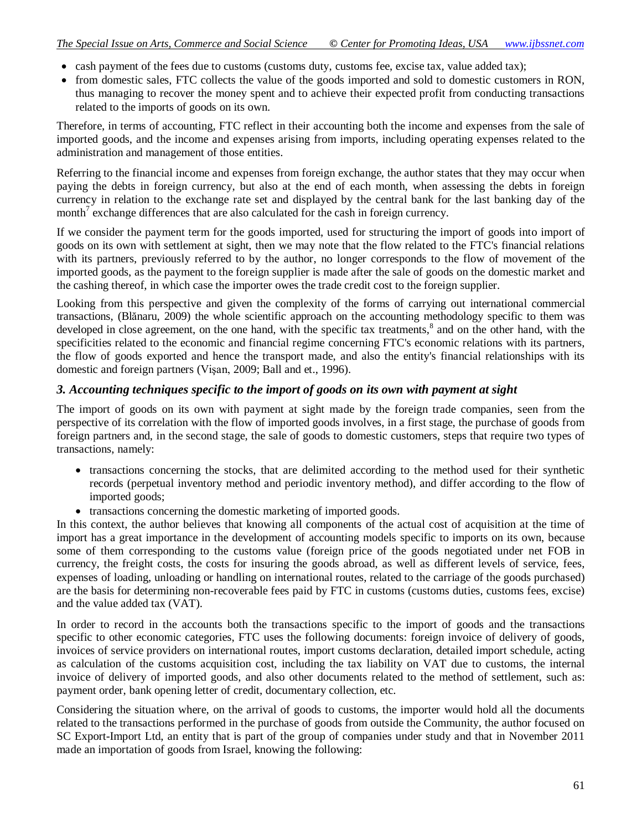- cash payment of the fees due to customs (customs duty, customs fee, excise tax, value added tax);
- from domestic sales, FTC collects the value of the goods imported and sold to domestic customers in RON, thus managing to recover the money spent and to achieve their expected profit from conducting transactions related to the imports of goods on its own.

Therefore, in terms of accounting, FTC reflect in their accounting both the income and expenses from the sale of imported goods, and the income and expenses arising from imports, including operating expenses related to the administration and management of those entities.

Referring to the financial income and expenses from foreign exchange, the author states that they may occur when paying the debts in foreign currency, but also at the end of each month, when assessing the debts in foreign currency in relation to the exchange rate set and displayed by the central bank for the last banking day of the month<sup>7</sup> exchange differences that are also calculated for the cash in foreign currency.

If we consider the payment term for the goods imported, used for structuring the import of goods into import of goods on its own with settlement at sight, then we may note that the flow related to the FTC's financial relations with its partners, previously referred to by the author, no longer corresponds to the flow of movement of the imported goods, as the payment to the foreign supplier is made after the sale of goods on the domestic market and the cashing thereof, in which case the importer owes the trade credit cost to the foreign supplier.

Looking from this perspective and given the complexity of the forms of carrying out international commercial transactions, (Blănaru, 2009) the whole scientific approach on the accounting methodology specific to them was developed in close agreement, on the one hand, with the specific tax treatments,<sup>8</sup> and on the other hand, with the specificities related to the economic and financial regime concerning FTC's economic relations with its partners, the flow of goods exported and hence the transport made, and also the entity's financial relationships with its domestic and foreign partners (Vişan, 2009; Ball and et., 1996).

#### *3. Accounting techniques specific to the import of goods on its own with payment at sight*

The import of goods on its own with payment at sight made by the foreign trade companies, seen from the perspective of its correlation with the flow of imported goods involves, in a first stage, the purchase of goods from foreign partners and, in the second stage, the sale of goods to domestic customers, steps that require two types of transactions, namely:

- transactions concerning the stocks, that are delimited according to the method used for their synthetic records (perpetual inventory method and periodic inventory method), and differ according to the flow of imported goods;
- transactions concerning the domestic marketing of imported goods.

In this context, the author believes that knowing all components of the actual cost of acquisition at the time of import has a great importance in the development of accounting models specific to imports on its own, because some of them corresponding to the customs value (foreign price of the goods negotiated under net FOB in currency, the freight costs, the costs for insuring the goods abroad, as well as different levels of service, fees, expenses of loading, unloading or handling on international routes, related to the carriage of the goods purchased) are the basis for determining non-recoverable fees paid by FTC in customs (customs duties, customs fees, excise) and the value added tax (VAT).

In order to record in the accounts both the transactions specific to the import of goods and the transactions specific to other economic categories, FTC uses the following documents: foreign invoice of delivery of goods, invoices of service providers on international routes, import customs declaration, detailed import schedule, acting as calculation of the customs acquisition cost, including the tax liability on VAT due to customs, the internal invoice of delivery of imported goods, and also other documents related to the method of settlement, such as: payment order, bank opening letter of credit, documentary collection, etc.

Considering the situation where, on the arrival of goods to customs, the importer would hold all the documents related to the transactions performed in the purchase of goods from outside the Community, the author focused on SC Export-Import Ltd, an entity that is part of the group of companies under study and that in November 2011 made an importation of goods from Israel, knowing the following: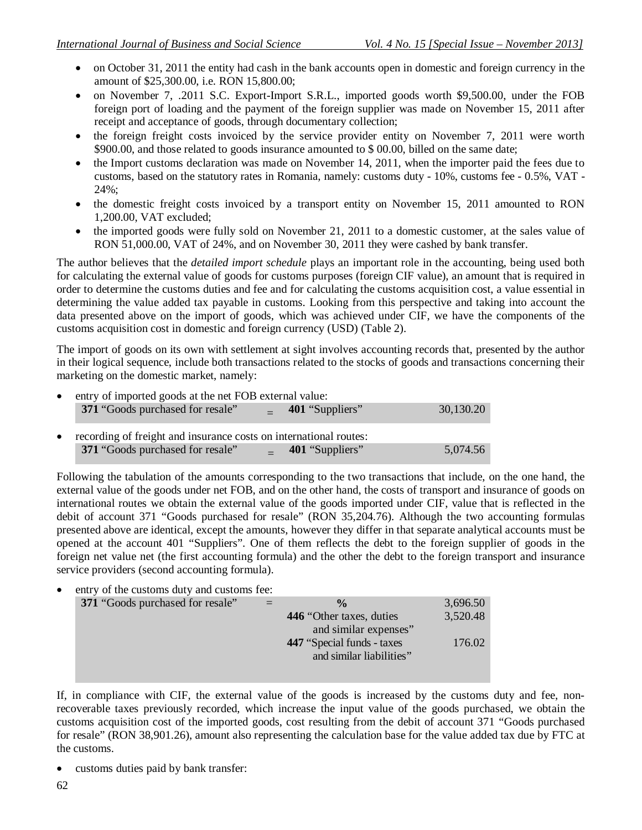- on October 31, 2011 the entity had cash in the bank accounts open in domestic and foreign currency in the amount of \$25,300.00, i.e. RON 15,800.00;
- on November 7, .2011 S.C. Export-Import S.R.L., imported goods worth \$9,500.00, under the FOB foreign port of loading and the payment of the foreign supplier was made on November 15, 2011 after receipt and acceptance of goods, through documentary collection;
- the foreign freight costs invoiced by the service provider entity on November 7, 2011 were worth \$900.00, and those related to goods insurance amounted to \$ 00.00, billed on the same date;
- the Import customs declaration was made on November 14, 2011, when the importer paid the fees due to customs, based on the statutory rates in Romania, namely: customs duty - 10%, customs fee - 0.5%, VAT - 24%;
- the domestic freight costs invoiced by a transport entity on November 15, 2011 amounted to RON 1,200.00, VAT excluded;
- the imported goods were fully sold on November 21, 2011 to a domestic customer, at the sales value of RON 51,000.00, VAT of 24%, and on November 30, 2011 they were cashed by bank transfer.

The author believes that the *detailed import schedule* plays an important role in the accounting, being used both for calculating the external value of goods for customs purposes (foreign CIF value), an amount that is required in order to determine the customs duties and fee and for calculating the customs acquisition cost, a value essential in determining the value added tax payable in customs. Looking from this perspective and taking into account the data presented above on the import of goods, which was achieved under CIF, we have the components of the customs acquisition cost in domestic and foreign currency (USD) (Table 2).

The import of goods on its own with settlement at sight involves accounting records that, presented by the author in their logical sequence, include both transactions related to the stocks of goods and transactions concerning their marketing on the domestic market, namely:

| entry of imported goods at the net FOB external value:<br>$\bullet$ |                                                                   |  |                 |           |
|---------------------------------------------------------------------|-------------------------------------------------------------------|--|-----------------|-----------|
|                                                                     | 371 "Goods purchased for resale"                                  |  | 401 "Suppliers" | 30,130.20 |
| $\bullet$                                                           | recording of freight and insurance costs on international routes: |  |                 |           |
|                                                                     | 371 "Goods purchased for resale"                                  |  | 401 "Suppliers" | 5.074.56  |

Following the tabulation of the amounts corresponding to the two transactions that include, on the one hand, the external value of the goods under net FOB, and on the other hand, the costs of transport and insurance of goods on international routes we obtain the external value of the goods imported under CIF, value that is reflected in the debit of account 371 "Goods purchased for resale" (RON 35,204.76). Although the two accounting formulas presented above are identical, except the amounts, however they differ in that separate analytical accounts must be opened at the account 401 "Suppliers". One of them reflects the debt to the foreign supplier of goods in the foreign net value net (the first accounting formula) and the other the debt to the foreign transport and insurance service providers (second accounting formula).

entry of the customs duty and customs fee:

| <b>371</b> "Goods purchased for resale" | $\frac{0}{\alpha}$          | 3,696.50 |
|-----------------------------------------|-----------------------------|----------|
|                                         | 446 "Other taxes, duties    | 3,520.48 |
|                                         | and similar expenses"       |          |
|                                         | 447 "Special funds - taxes" | 176.02   |
|                                         | and similar liabilities"    |          |
|                                         |                             |          |

If, in compliance with CIF, the external value of the goods is increased by the customs duty and fee, nonrecoverable taxes previously recorded, which increase the input value of the goods purchased, we obtain the customs acquisition cost of the imported goods, cost resulting from the debit of account 371 "Goods purchased for resale" (RON 38,901.26), amount also representing the calculation base for the value added tax due by FTC at the customs.

• customs duties paid by bank transfer: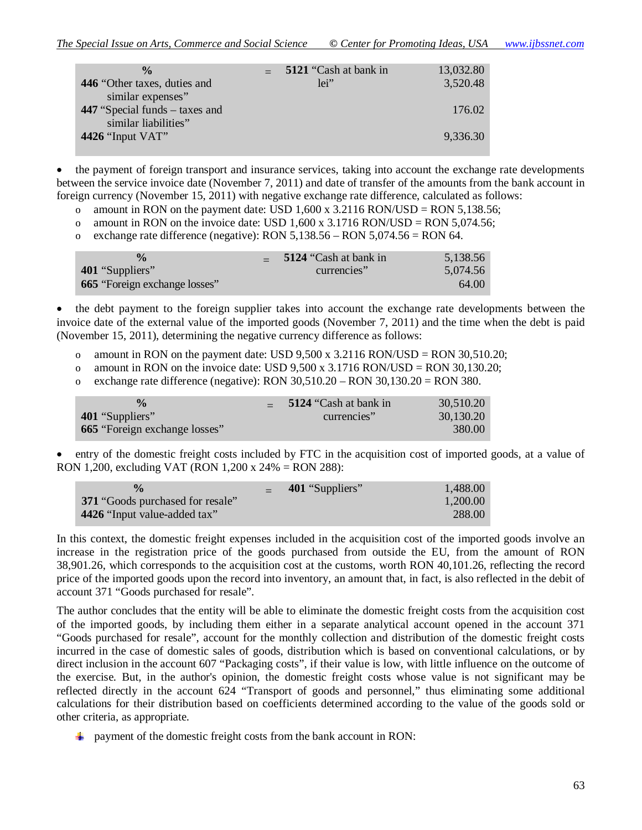| $\frac{0}{n}$                                            | 5121 "Cash at bank in | 13,032.80 |
|----------------------------------------------------------|-----------------------|-----------|
| 446 "Other taxes, duties and<br>similar expenses"        | $1e^{i}$              | 3,520.48  |
| 447 "Special funds $-$ taxes and<br>similar liabilities" |                       | 176.02    |
| 4426 "Input $VAT$ "                                      |                       | 9.336.30  |

 the payment of foreign transport and insurance services, taking into account the exchange rate developments between the service invoice date (November 7, 2011) and date of transfer of the amounts from the bank account in foreign currency (November 15, 2011) with negative exchange rate difference, calculated as follows:

- o amount in RON on the payment date: USD  $1,600 \times 3.2116$  RON/USD = RON 5,138.56;
- o amount in RON on the invoice date: USD  $1,600 \times 3.1716$  RON/USD = RON 5,074.56;
- o exchange rate difference (negative): RON 5,138.56 RON 5,074.56 = RON 64.

| $\frac{0}{\alpha}$<br>401 "Suppliers"<br><b>665</b> "Foreign exchange losses" | 5124 "Cash at bank in<br>currencies" | 5,138.56<br>5,074.56<br>64.00 |
|-------------------------------------------------------------------------------|--------------------------------------|-------------------------------|
|                                                                               |                                      |                               |

 the debt payment to the foreign supplier takes into account the exchange rate developments between the invoice date of the external value of the imported goods (November 7, 2011) and the time when the debt is paid (November 15, 2011), determining the negative currency difference as follows:

- o amount in RON on the payment date: USD  $9,500 \times 3.2116 \text{ RON/USD} = \text{RON } 30,510.20$ ;
- o amount in RON on the invoice date: USD  $9,500 \times 3.1716$  RON/USD = RON 30,130.20;
- o exchange rate difference (negative): RON  $30,510.20 RON$   $30,130.20 = RON$   $380$ .

| $\frac{0}{\alpha}$                   | 5124 "Cash at bank in | 30,510.20 |
|--------------------------------------|-----------------------|-----------|
| 401 "Suppliers"                      | currencies"           | 30,130.20 |
| <b>665</b> "Foreign exchange losses" |                       | 380.00    |

I entry of the domestic freight costs included by FTC in the acquisition cost of imported goods, at a value of RON 1,200, excluding VAT (RON 1,200 x 24% = RON 288):

| $\frac{0}{\alpha}$               | 401 "Suppliers" | 1.488.00 |
|----------------------------------|-----------------|----------|
| 371 "Goods purchased for resale" |                 | 1.200.00 |
| 4426 "Input value-added tax"     |                 | 288.00   |

In this context, the domestic freight expenses included in the acquisition cost of the imported goods involve an increase in the registration price of the goods purchased from outside the EU, from the amount of RON 38,901.26, which corresponds to the acquisition cost at the customs, worth RON 40,101.26, reflecting the record price of the imported goods upon the record into inventory, an amount that, in fact, is also reflected in the debit of account 371 "Goods purchased for resale".

The author concludes that the entity will be able to eliminate the domestic freight costs from the acquisition cost of the imported goods, by including them either in a separate analytical account opened in the account 371 "Goods purchased for resale", account for the monthly collection and distribution of the domestic freight costs incurred in the case of domestic sales of goods, distribution which is based on conventional calculations, or by direct inclusion in the account 607 "Packaging costs", if their value is low, with little influence on the outcome of the exercise. But, in the author's opinion, the domestic freight costs whose value is not significant may be reflected directly in the account 624 "Transport of goods and personnel," thus eliminating some additional calculations for their distribution based on coefficients determined according to the value of the goods sold or other criteria, as appropriate.

 $\ddot{\bullet}$  payment of the domestic freight costs from the bank account in RON: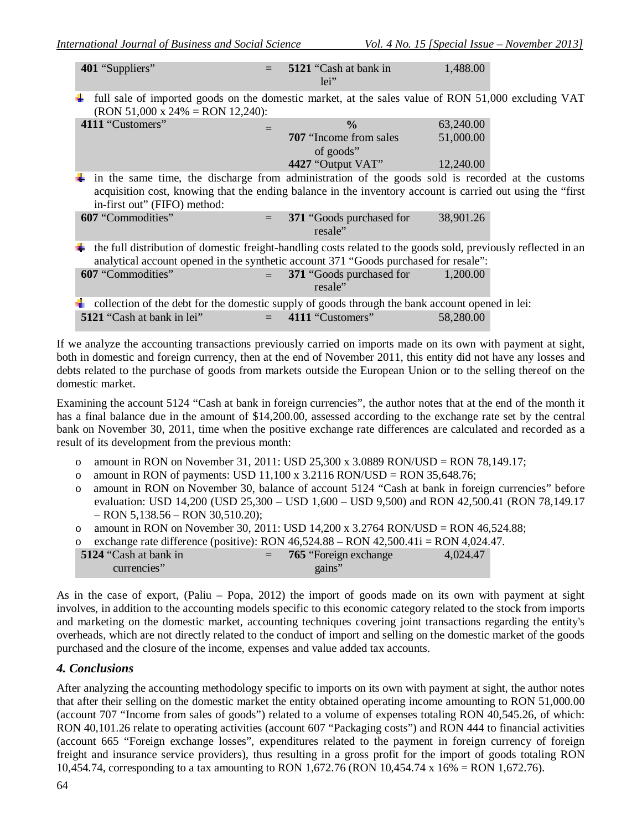| 401 "Suppliers"                       | 5121 "Cash at bank in<br>$1e^{i}$                                                               | 1,488.00                                                                                                       |
|---------------------------------------|-------------------------------------------------------------------------------------------------|----------------------------------------------------------------------------------------------------------------|
| ₩<br>(RON 51,000 x 24% = RON 12,240): |                                                                                                 | full sale of imported goods on the domestic market, at the sales value of RON 51,000 excluding VAT             |
| 4111 "Customers"                      | $\frac{0}{0}$                                                                                   | 63,240.00                                                                                                      |
|                                       | <b>707</b> "Income from sales"                                                                  | 51,000.00                                                                                                      |
|                                       | of goods"                                                                                       |                                                                                                                |
|                                       | 4427 "Output VAT"                                                                               | 12,240.00                                                                                                      |
|                                       |                                                                                                 | in the same time, the discharge from administration of the goods sold is recorded at the customs               |
|                                       |                                                                                                 | acquisition cost, knowing that the ending balance in the inventory account is carried out using the "first     |
| in-first out" (FIFO) method:          |                                                                                                 |                                                                                                                |
| 607 "Commodities"                     | 371 "Goods purchased for<br>$=$<br>resale"                                                      | 38,901.26                                                                                                      |
|                                       |                                                                                                 | the full distribution of domestic freight-handling costs related to the goods sold, previously reflected in an |
|                                       | analytical account opened in the synthetic account 371 "Goods purchased for resale":            |                                                                                                                |
| 607 "Commodities"                     | 371 "Goods purchased for<br>resale"                                                             | 1,200.00                                                                                                       |
|                                       | collection of the debt for the domestic supply of goods through the bank account opened in lei: |                                                                                                                |
| 5121 "Cash at bank in lei"            | 4111 "Customers"<br>$=$                                                                         | 58,280.00                                                                                                      |
|                                       |                                                                                                 |                                                                                                                |

If we analyze the accounting transactions previously carried on imports made on its own with payment at sight, both in domestic and foreign currency, then at the end of November 2011, this entity did not have any losses and debts related to the purchase of goods from markets outside the European Union or to the selling thereof on the domestic market.

Examining the account 5124 "Cash at bank in foreign currencies", the author notes that at the end of the month it has a final balance due in the amount of \$14,200.00, assessed according to the exchange rate set by the central bank on November 30, 2011, time when the positive exchange rate differences are calculated and recorded as a result of its development from the previous month:

- o amount in RON on November 31, 2011: USD 25,300 x 3.0889 RON/USD = RON 78,149.17;
- o amount in RON of payments: USD  $11,100 \times 3.2116$  RON/USD = RON 35,648.76;
- o amount in RON on November 30, balance of account 5124 "Cash at bank in foreign currencies" before evaluation: USD 14,200 (USD 25,300 – USD 1,600 – USD 9,500) and RON 42,500.41 (RON 78,149.17 – RON 5,138.56 – RON 30,510.20);
- o amount in RON on November 30, 2011: USD 14,200 x 3.2764 RON/USD = RON 46,524.88;
- o exchange rate difference (positive): RON  $46,524.88 -$  RON  $42,500.41$  = RON  $4,024.47$ .

| 5124 "Cash at bank in<br>currencies" | $= 765$ "Foreign exchange<br>gains" | 4,024.47 |
|--------------------------------------|-------------------------------------|----------|
|                                      |                                     |          |

As in the case of export, (Paliu – Popa, 2012) the import of goods made on its own with payment at sight involves, in addition to the accounting models specific to this economic category related to the stock from imports and marketing on the domestic market, accounting techniques covering joint transactions regarding the entity's overheads, which are not directly related to the conduct of import and selling on the domestic market of the goods purchased and the closure of the income, expenses and value added tax accounts.

#### *4. Conclusions*

After analyzing the accounting methodology specific to imports on its own with payment at sight, the author notes that after their selling on the domestic market the entity obtained operating income amounting to RON 51,000.00 (account 707 "Income from sales of goods") related to a volume of expenses totaling RON 40,545.26, of which: RON 40,101.26 relate to operating activities (account 607 "Packaging costs") and RON 444 to financial activities (account 665 "Foreign exchange losses", expenditures related to the payment in foreign currency of foreign freight and insurance service providers), thus resulting in a gross profit for the import of goods totaling RON 10,454.74, corresponding to a tax amounting to RON 1,672.76 (RON 10,454.74 x 16% = RON 1,672.76).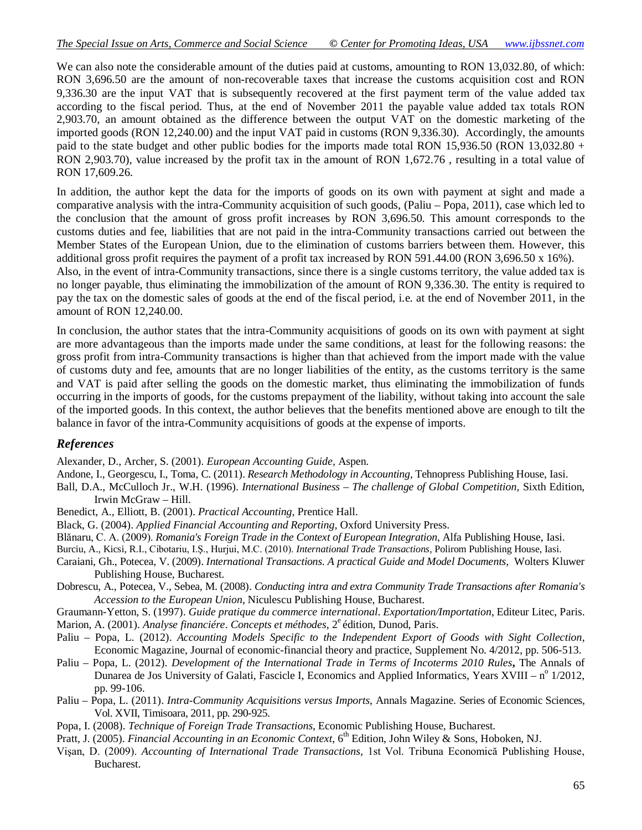We can also note the considerable amount of the duties paid at customs, amounting to RON 13,032.80, of which: RON 3,696.50 are the amount of non-recoverable taxes that increase the customs acquisition cost and RON 9,336.30 are the input VAT that is subsequently recovered at the first payment term of the value added tax according to the fiscal period. Thus, at the end of November 2011 the payable value added tax totals RON 2,903.70, an amount obtained as the difference between the output VAT on the domestic marketing of the imported goods (RON 12,240.00) and the input VAT paid in customs (RON 9,336.30). Accordingly, the amounts paid to the state budget and other public bodies for the imports made total RON 15,936.50 (RON 13,032.80 + RON 2,903.70), value increased by the profit tax in the amount of RON 1,672.76 , resulting in a total value of RON 17,609.26.

In addition, the author kept the data for the imports of goods on its own with payment at sight and made a comparative analysis with the intra-Community acquisition of such goods, (Paliu – Popa, 2011), case which led to the conclusion that the amount of gross profit increases by RON 3,696.50. This amount corresponds to the customs duties and fee, liabilities that are not paid in the intra-Community transactions carried out between the Member States of the European Union, due to the elimination of customs barriers between them. However, this additional gross profit requires the payment of a profit tax increased by RON 591.44.00 (RON 3,696.50 x 16%). Also, in the event of intra-Community transactions, since there is a single customs territory, the value added tax is no longer payable, thus eliminating the immobilization of the amount of RON 9,336.30. The entity is required to pay the tax on the domestic sales of goods at the end of the fiscal period, i.e. at the end of November 2011, in the amount of RON 12,240.00.

In conclusion, the author states that the intra-Community acquisitions of goods on its own with payment at sight are more advantageous than the imports made under the same conditions, at least for the following reasons: the gross profit from intra-Community transactions is higher than that achieved from the import made with the value of customs duty and fee, amounts that are no longer liabilities of the entity, as the customs territory is the same and VAT is paid after selling the goods on the domestic market, thus eliminating the immobilization of funds occurring in the imports of goods, for the customs prepayment of the liability, without taking into account the sale of the imported goods. In this context, the author believes that the benefits mentioned above are enough to tilt the balance in favor of the intra-Community acquisitions of goods at the expense of imports.

#### *References*

Alexander, D., Archer, S. (2001). *European Accounting Guide,* Aspen.

Andone, I., Georgescu, I., Toma, C. (2011). *Research Methodology in Accounting,* Tehnopress Publishing House, Iasi.

Ball, D.A., McCulloch Jr., W.H. (1996). *International Business – The challenge of Global Competition,* Sixth Edition, Irwin McGraw – Hill.

- Benedict, A., Elliott, B. (2001). *Practical Accounting,* Prentice Hall.
- Black, G. (2004). *Applied Financial Accounting and Reporting,* Oxford University Press.
- Blănaru, C. A. (2009). *Romania's Foreign Trade in the Context of European Integration*, Alfa Publishing House, Iasi.
- Burciu, A., Kicsi, R.I., Cibotariu, I.Ş., Hurjui, M.C. (2010). *International Trade Transactions*, Polirom Publishing House, Iasi.
- Caraiani, Gh., Potecea, V. (2009). *International Transactions. A practical Guide and Model Documents,* Wolters Kluwer Publishing House, Bucharest.
- Dobrescu, A., Potecea, V., Sebea, M. (2008). *Conducting intra and extra Community Trade Transactions after Romania's Accession to the European Union,* Niculescu Publishing House, Bucharest.

Graumann-Yetton, S. (1997). *Guide pratique du commerce international*. *Exportation/Importation*, Editeur Litec, Paris.

Marion, A. (2001). *Analyse financiére. Concepts et méthodes*, 2<sup>e</sup> édition, Dunod, Paris.

- Paliu Popa, L. (2012). *Accounting Models Specific to the Independent Export of Goods with Sight Collection*, Economic Magazine, Journal of economic-financial theory and practice*,* Supplement No. 4/2012, pp. 506-513.
- Paliu Popa, L. (2012). *Development of the International Trade in Terms of Incoterms 2010 Rules*, The Annals of Dunarea de Jos University of Galati, Fascicle I, Economics and Applied Informatics, Years XVIII – nº 1/2012, pp. 99-106.
- Paliu Popa, L. (2011). *Intra-Community Acquisitions versus Imports*, Annals Magazine. Series of Economic Sciences, Vol. XVII, Timisoara, 2011, pp. 290-925.
- Popa, I. (2008). *Technique of Foreign Trade Transactions*, Economic Publishing House, Bucharest.
- Pratt, J. (2005). *Financial Accounting in an Economic Context*, 6<sup>th</sup> Edition, John Wiley & Sons, Hoboken, NJ.
- Vişan, D. (2009). *Accounting of International Trade Transactions,* 1st Vol. Tribuna Economică Publishing House, Bucharest.